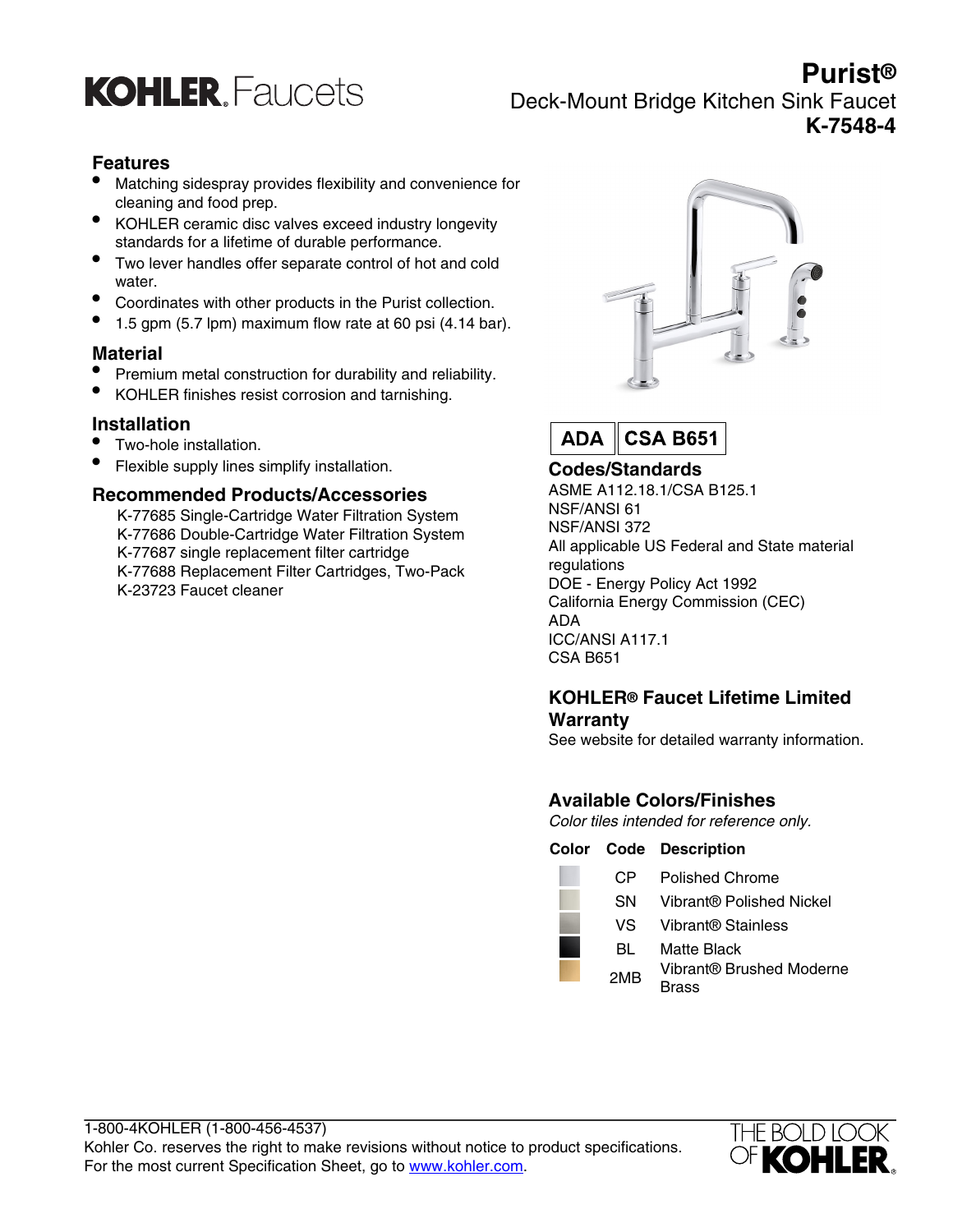

# **Purist®** Deck-Mount Bridge Kitchen Sink Faucet **K-7548-4**

### **Features**

- Matching sidespray provides flexibility and convenience for cleaning and food prep.
- KOHLER ceramic disc valves exceed industry longevity standards for a lifetime of durable performance.
- Two lever handles offer separate control of hot and cold water.
- Coordinates with other products in the Purist collection.
- 1.5 gpm (5.7 lpm) maximum flow rate at 60 psi (4.14 bar).

#### **Material**

- Premium metal construction for durability and reliability.
- KOHLER finishes resist corrosion and tarnishing.

#### **Installation**

- Two-hole installation.
- Flexible supply lines simplify installation.

#### **Recommended Products/Accessories**

K-77685 Single-Cartridge Water Filtration System K-77686 Double-Cartridge Water Filtration System K-77687 single replacement filter cartridge K-77688 Replacement Filter Cartridges, Two-Pack K-23723 Faucet cleaner





## **Codes/Standards**

ASME A112.18.1/CSA B125.1 NSF/ANSI 61 NSF/ANSI 372 All applicable US Federal and State material regulations DOE - Energy Policy Act 1992 California Energy Commission (CEC) ADA ICC/ANSI A117.1 CSA B651

#### **KOHLER® Faucet Lifetime Limited Warranty**

See website for detailed warranty information.

# **Available Colors/Finishes**

Color tiles intended for reference only.